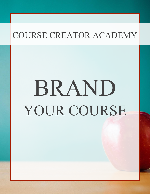# BRAND YOUR COURSE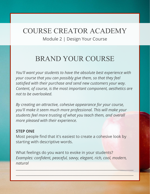## COURSE CREATOR ACADEMY Module 2 | Design Your Course

## BRAND YOUR COURSE

*You'll want your students to have the absolute best experience with your course that you can possibly give them, so that they feel satisfied with their purchase and send new customers your way. Content, of course, is the most important component, aesthetics are not to be overlooked.* 

*By creating an attractive, cohesive appearance for your course, you'll make it seem much more professional. This will make your students feel more trusting of what you teach them, and overall more pleased with their experience.*

#### **STEP ONE**

Most people find that it's easiest to create a cohesive look by starting with descriptive words.

What feelings do you want to evoke in your students? *Examples: confident, peaceful, savvy, elegant, rich, cool, modern, natural*

 $\Delta = \frac{1}{2} \frac{1}{2} \frac{1}{2} \frac{1}{2} \frac{1}{2} \frac{1}{2} \frac{1}{2} \frac{1}{2} \frac{1}{2} \frac{1}{2} \frac{1}{2} \frac{1}{2} \frac{1}{2} \frac{1}{2} \frac{1}{2} \frac{1}{2} \frac{1}{2} \frac{1}{2} \frac{1}{2} \frac{1}{2} \frac{1}{2} \frac{1}{2} \frac{1}{2} \frac{1}{2} \frac{1}{2} \frac{1}{2} \frac{1}{2} \frac{1}{2} \frac{1}{2} \frac{1}{2} \frac{1}{2}$ 

 $\Box N \to \infty$  , we have a set of  $\Box N \to \infty$  . The contract of  $\Box N \to \infty$  , we have a set of  $\Box N \to \infty$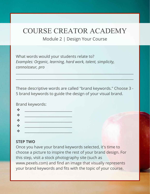### Module 2 | Design Your Course

What words would your students relate to? *Examples: Organic, learning, hard work, talent, simplicity, connoisseur, pro*

These descriptive words are called "brand keywords." Choose 3 - 5 brand keywords to guide the design of your visual brand.

 $\frac{1}{2}$  ,  $\frac{1}{2}$  ,  $\frac{1}{2}$  ,  $\frac{1}{2}$  ,  $\frac{1}{2}$  ,  $\frac{1}{2}$  ,  $\frac{1}{2}$  ,  $\frac{1}{2}$  ,  $\frac{1}{2}$  ,  $\frac{1}{2}$  ,  $\frac{1}{2}$  ,  $\frac{1}{2}$  ,  $\frac{1}{2}$  ,  $\frac{1}{2}$  ,  $\frac{1}{2}$  ,  $\frac{1}{2}$  ,  $\frac{1}{2}$  ,  $\frac{1}{2}$  ,  $\frac{1$ 

 $\_$  , and the set of the set of the set of the set of the set of the set of the set of the set of the set of the set of the set of the set of the set of the set of the set of the set of the set of the set of the set of th

Brand keywords:

#### **STEP TWO**

Once you have your brand keywords selected, it's time to choose a picture to inspire the rest of your brand design. For this step, visit a stock photography site (such as www.pexels.com) and find an image that visually represents your brand keywords and fits with the topic of your course.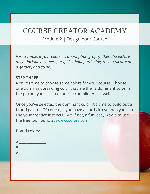Module 2 | Design Your Course

*For example, if your course is about photography, then the picture might include a camera, or if it's about gardening, then a picture of a garden, and so on.*

#### **STEP THREE**

Now it's time to choose some colors for your course. Choose one dominant branding color that is either a dominant color in the picture you selected, or else compliments it well.

Once you've selected the dominant color, it's time to build out a brand palette. Of course, if you have an artistic eye then you can use your creative instincts. But, if not, a fun, easy way is to use the free tool found at [www.coolors.com.](http://www.coolors.com)

Brand colors:

| # |  |
|---|--|
| # |  |
| # |  |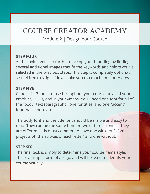Module 2 | Design Your Course

#### **STEP FOUR**

At this point, you can further develop your branding by finding several additional images that fit the keywords and colors you've selected in the previous steps. This step is completely optional, so feel free to skip it if it will take you too much time or energy.

#### **STEP FIVE**

Choose 2 - 3 fonts to use throughout your course on all of your graphics, PDF's, and in your videos. You'll need one font for all of the "body" text (paragraphs), one for titles, and one "accent" font that's more artistic.

The body font and the title font should be simple and easy to read. They can be the same font, or two different fonts. If they are different, it is most common to have one with serifs (small projects off the strokes of each letter) and one without.

#### **STEP SIX**

The final task is simply to determine your course name style. This is a simple form of a logo, and will be used to identify your course visually.